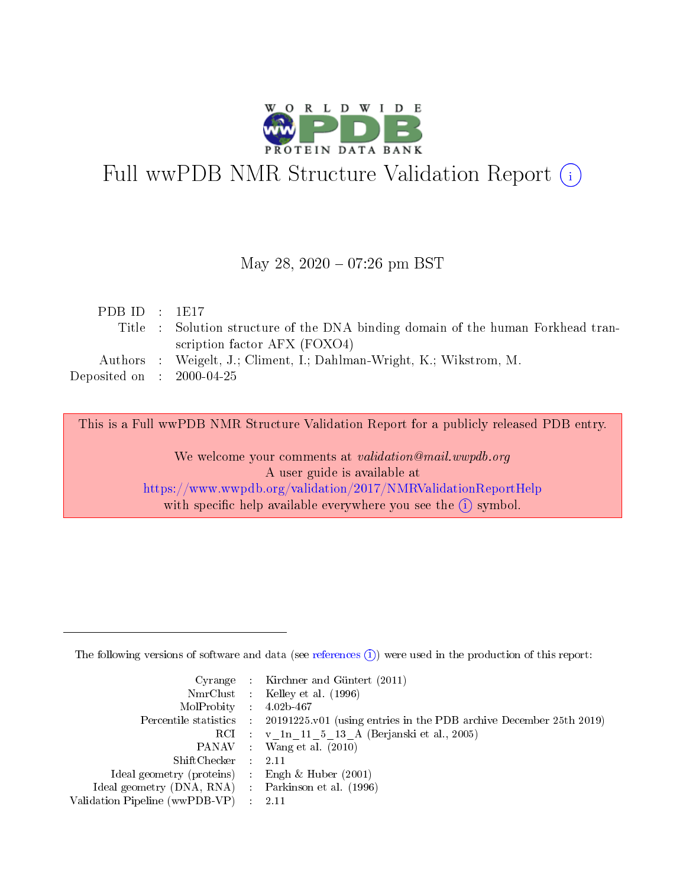

# Full wwPDB NMR Structure Validation Report (i)

#### May 28, 2020 - 07:26 pm BST

| PDB ID : $1E17$                     |                                                                                  |
|-------------------------------------|----------------------------------------------------------------------------------|
|                                     | Title : Solution structure of the DNA binding domain of the human Forkhead tran- |
|                                     | scription factor AFX (FOXO4)                                                     |
|                                     | Authors : Weigelt, J.; Climent, I.; Dahlman-Wright, K.; Wikstrom, M.             |
| Deposited on $\,$ : 2000-04-25 $\,$ |                                                                                  |
|                                     |                                                                                  |

This is a Full wwPDB NMR Structure Validation Report for a publicly released PDB entry. We welcome your comments at *validation@mail.wwpdb.org* A user guide is available at

<https://www.wwpdb.org/validation/2017/NMRValidationReportHelp> with specific help available everywhere you see the  $\hat{I}$  symbol.

The following versions of software and data (see [references](https://www.wwpdb.org/validation/2017/NMRValidationReportHelp#references)  $(1)$ ) were used in the production of this report:

|                                                     | Cyrange : Kirchner and Güntert (2011)                                                      |
|-----------------------------------------------------|--------------------------------------------------------------------------------------------|
|                                                     | NmrClust : Kelley et al. (1996)                                                            |
| $MolProbability$ 4.02b-467                          |                                                                                            |
|                                                     | Percentile statistics : 20191225.v01 (using entries in the PDB archive December 25th 2019) |
|                                                     | RCI : v 1n 11 5 13 A (Berjanski et al., 2005)                                              |
|                                                     | PANAV : Wang et al. (2010)                                                                 |
| $ShiftChecker$ : 2.11                               |                                                                                            |
| Ideal geometry (proteins) : Engh $\&$ Huber (2001)  |                                                                                            |
| Ideal geometry (DNA, RNA) : Parkinson et al. (1996) |                                                                                            |
| Validation Pipeline (wwPDB-VP)                      | - 2.11                                                                                     |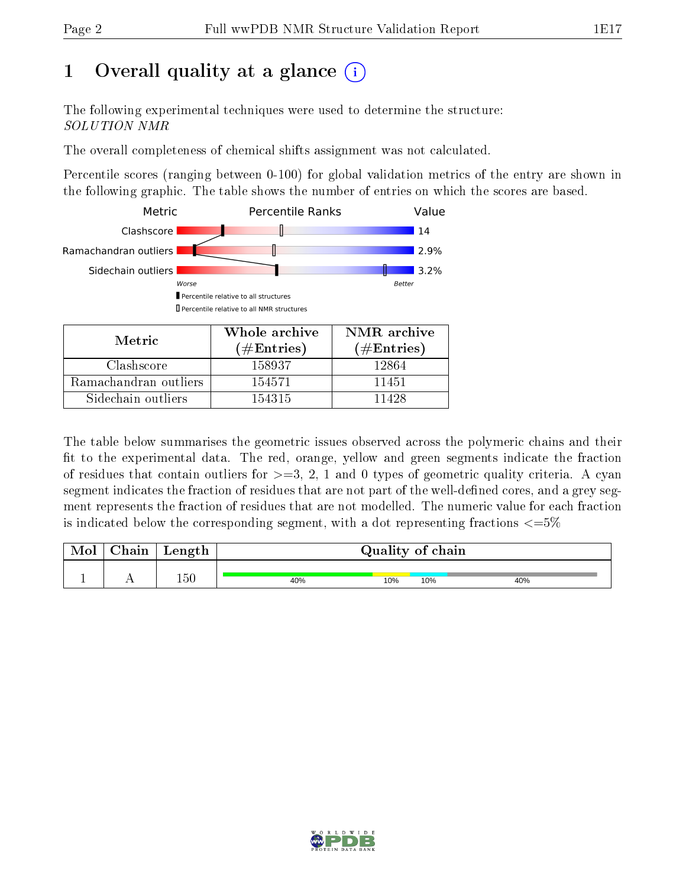# 1 [O](https://www.wwpdb.org/validation/2017/NMRValidationReportHelp#overall_quality)verall quality at a glance (i)

The following experimental techniques were used to determine the structure: SOLUTION NMR

The overall completeness of chemical shifts assignment was not calculated.

Percentile scores (ranging between 0-100) for global validation metrics of the entry are shown in the following graphic. The table shows the number of entries on which the scores are based.



Sidechain outliers 154315 11428

The table below summarises the geometric issues observed across the polymeric chains and their fit to the experimental data. The red, orange, yellow and green segments indicate the fraction of residues that contain outliers for  $>=3, 2, 1$  and 0 types of geometric quality criteria. A cyan segment indicates the fraction of residues that are not part of the well-defined cores, and a grey segment represents the fraction of residues that are not modelled. The numeric value for each fraction is indicated below the corresponding segment, with a dot representing fractions  $\epsilon = 5\%$ 

| Mol | ${\bf Chain}$ | Length |     | Quality of chain |     |     |
|-----|---------------|--------|-----|------------------|-----|-----|
|     |               | 150    | 40% | 10%              | 10% | 40% |

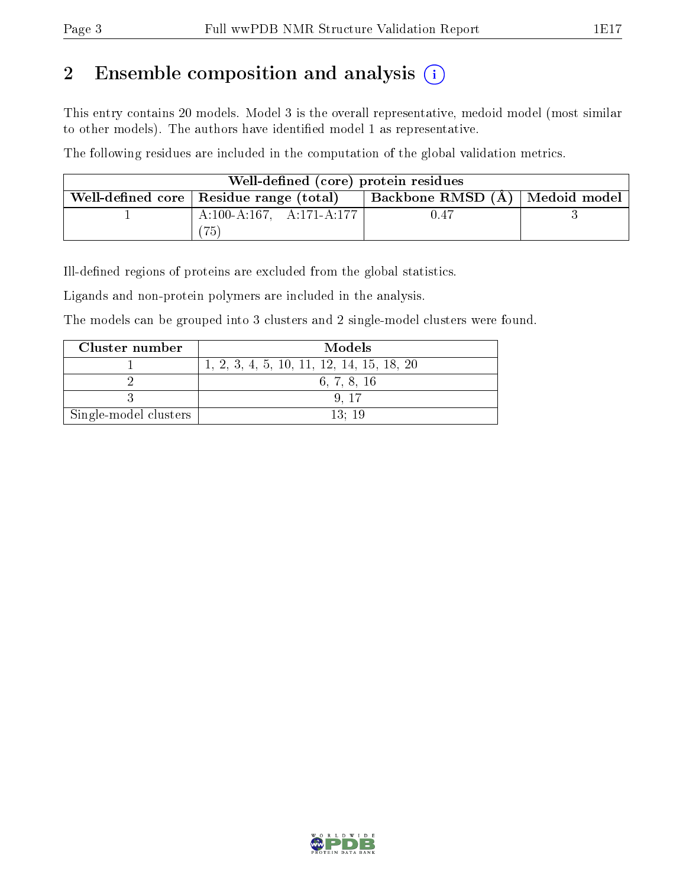# 2 Ensemble composition and analysis  $(i)$

This entry contains 20 models. Model 3 is the overall representative, medoid model (most similar to other models). The authors have identified model 1 as representative.

The following residues are included in the computation of the global validation metrics.

| Well-defined (core) protein residues      |                                  |  |
|-------------------------------------------|----------------------------------|--|
| Well-defined core   Residue range (total) | Backbone RMSD (Å)   Medoid model |  |
| $A:100-A:167$ , $A:171-A:177$             | 0.47                             |  |
| 75                                        |                                  |  |

Ill-defined regions of proteins are excluded from the global statistics.

Ligands and non-protein polymers are included in the analysis.

The models can be grouped into 3 clusters and 2 single-model clusters were found.

| Cluster number        | Models                                      |
|-----------------------|---------------------------------------------|
|                       | $1, 2, 3, 4, 5, 10, 11, 12, 14, 15, 18, 20$ |
|                       | 6, 7, 8, 16                                 |
|                       |                                             |
| Single-model clusters | 13:19                                       |

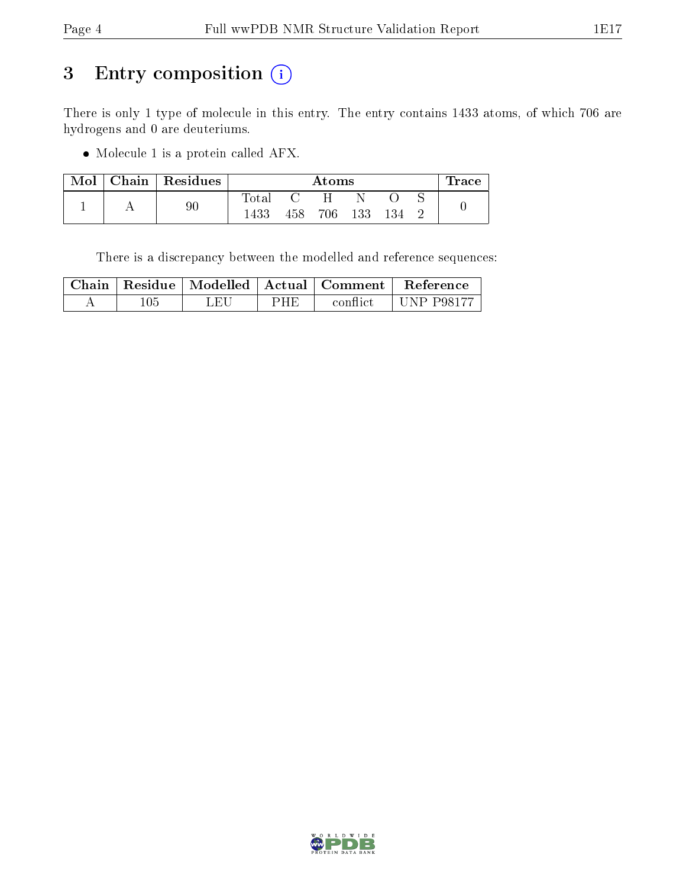# 3 Entry composition (i)

There is only 1 type of molecule in this entry. The entry contains 1433 atoms, of which 706 are hydrogens and 0 are deuteriums.

Molecule 1 is a protein called AFX.

| Mol | Chain   Residues |             |      | Atoms |     |     | lrace |
|-----|------------------|-------------|------|-------|-----|-----|-------|
|     |                  | $\rm Total$ |      |       |     |     |       |
|     | 90               | 1433        | 458. | 706   | 133 | 134 |       |

There is a discrepancy between the modelled and reference sequences:

|     |     |     | $^\top$ Chain   Residue   Modelled   Actual   Comment | Reference         |
|-----|-----|-----|-------------------------------------------------------|-------------------|
| 105 | LEU | PHE | conflict                                              | <b>UNP P98177</b> |

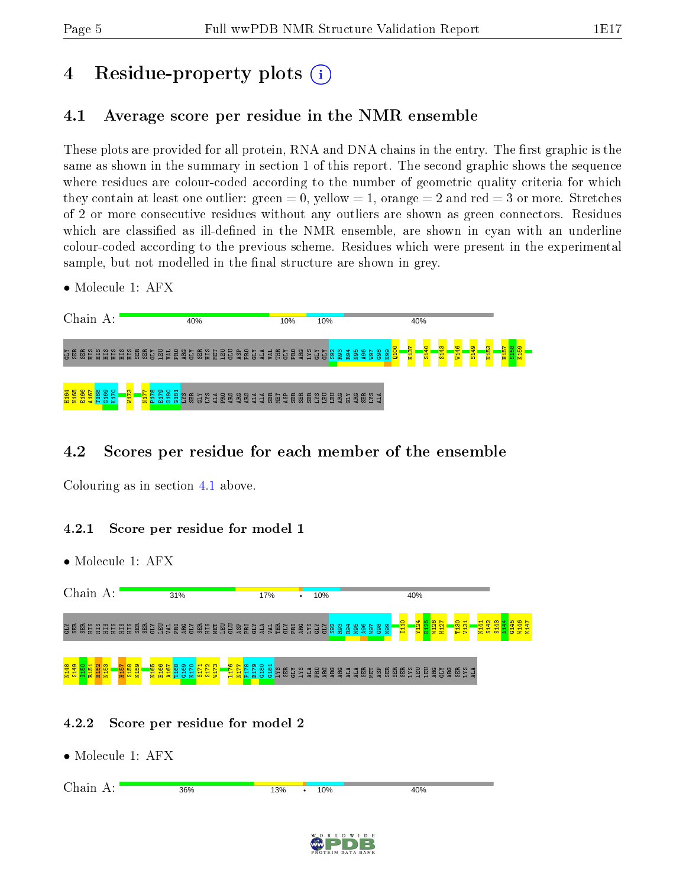# 4 Residue-property plots  $\binom{1}{1}$

## <span id="page-4-0"></span>4.1 Average score per residue in the NMR ensemble

These plots are provided for all protein, RNA and DNA chains in the entry. The first graphic is the same as shown in the summary in section 1 of this report. The second graphic shows the sequence where residues are colour-coded according to the number of geometric quality criteria for which they contain at least one outlier: green  $= 0$ , yellow  $= 1$ , orange  $= 2$  and red  $= 3$  or more. Stretches of 2 or more consecutive residues without any outliers are shown as green connectors. Residues which are classified as ill-defined in the NMR ensemble, are shown in cyan with an underline colour-coded according to the previous scheme. Residues which were present in the experimental sample, but not modelled in the final structure are shown in grey.

• Molecule 1: AFX



### 4.2 Scores per residue for each member of the ensemble

Colouring as in section [4.1](#page-4-0) above.

#### 4.2.1 Score per residue for model 1

• Molecule 1: AFX



#### 4.2.2 Score per residue for model 2

| Chain A: | 36% | 13% | ٠ | 10% | 40% |
|----------|-----|-----|---|-----|-----|
|          |     |     |   |     |     |
|          |     |     |   |     |     |

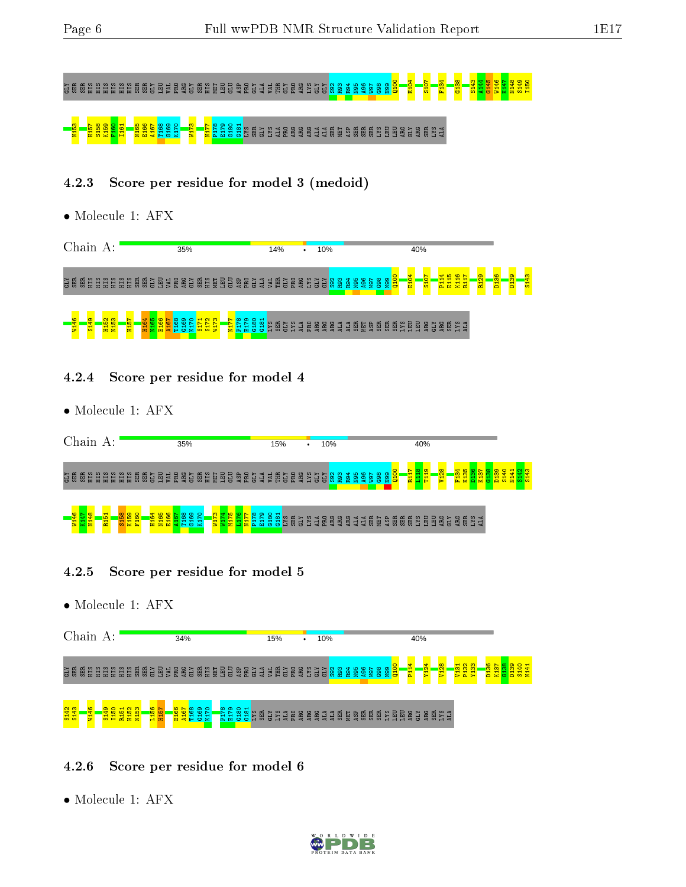# GLY SER SER HIS HIS HIS HIS HIS HIS SER SER GLY LEU VAL PRO ARG GLY SER HIS MET LEU GLU ASP PRO GLY ALA VAL THR GLY PRO ARG LYS GLY GLY S92 R93 R94 N95 A96 W97 G98 N99 Q100 E104 S107 F134 G138 S143 A144 G145 W146 K147 N148 S149 I150

# $\frac{3}{8}$ 58 G161 S14 G166 G160 G160 G160 G160 G160 G174 G161 SER G191 A170 G161 C1

### 4.2.3 Score per residue for model 3 (medoid)

• Molecule 1: AFX

| Chain      |        | А:        |   |                       |   |    |               |        |         | 35%      |                 |    |        |   |        |                       |        |   |     | 14%    |            |   | ٠         |                  | 10% |             |   |     |         |                 |               |   |                                    |                  | 40% |               |   |                |                    |                                         |                    |          |             |                              |  |
|------------|--------|-----------|---|-----------------------|---|----|---------------|--------|---------|----------|-----------------|----|--------|---|--------|-----------------------|--------|---|-----|--------|------------|---|-----------|------------------|-----|-------------|---|-----|---------|-----------------|---------------|---|------------------------------------|------------------|-----|---------------|---|----------------|--------------------|-----------------------------------------|--------------------|----------|-------------|------------------------------|--|
| ិដ្ឋ       | Ě      | Ξ         | ш |                       | 崮 | 囹  | 品<br>≊<br>- 5 | а<br>ь | 忌<br>E. | ្លួ<br>큷 | <b>KTD</b><br>펹 | ЯH | 6<br>뤀 | 邑 | в<br>局 | A <sub>S</sub> E<br>묪 | я<br>ы | э | VAI | 臣<br>E | <b>CLY</b> | 뎖 | ARG       | Б                |     | rη          | œ | ट्ठ | õś<br>€ | 8<br>'5<br>÷    | m.<br>ŏ<br>ēš |   | <b>DOLD</b><br>Ba <mark>loo</mark> | E <sub>104</sub> |     | $\frac{1}{2}$ |   | $\overline{H}$ | ю<br>$\frac{1}{2}$ | ¢<br>북<br><u>—</u><br>큹<br>$\mathbf{x}$ | e<br>$\frac{1}{R}$ | õ<br>ia. | ൈ<br>က<br>ᆷ | $\overline{\mathbf{r}}$<br>局 |  |
| ान<br>जन्म | ⇺<br>묾 | <b>IQ</b> | 륳 | <b>H<sub>15</sub></b> |   | ۰ö |               |        |         | ö        | 호흡흥불            |    |        |   | 등품     | - 69                  | ÷      |   | e   | 5      | ு<br>s     | 5 | a la<br>÷ | $\tilde{a}$<br>룜 | ğ   | $\tilde{H}$ | 브 | 님   | 岛       | <b>ASI</b><br>島 | 商<br>昂        | 岛 | м                                  | 圄<br>š           | EU  | <b>ARC</b>    | 님 | ğ              | 円                  | 5                                       |                    |          |             |                              |  |

- 4.2.4 Score per residue for model 4
- Molecule 1: AFX



- 4.2.5 Score per residue for model 5
- Molecule 1: AFX



#### 4.2.6 Score per residue for model 6

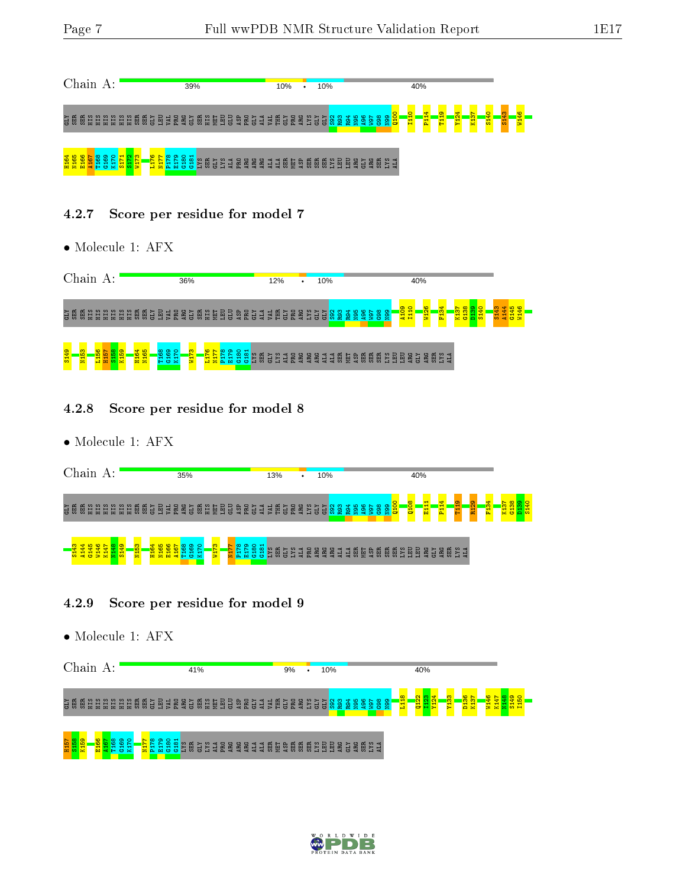

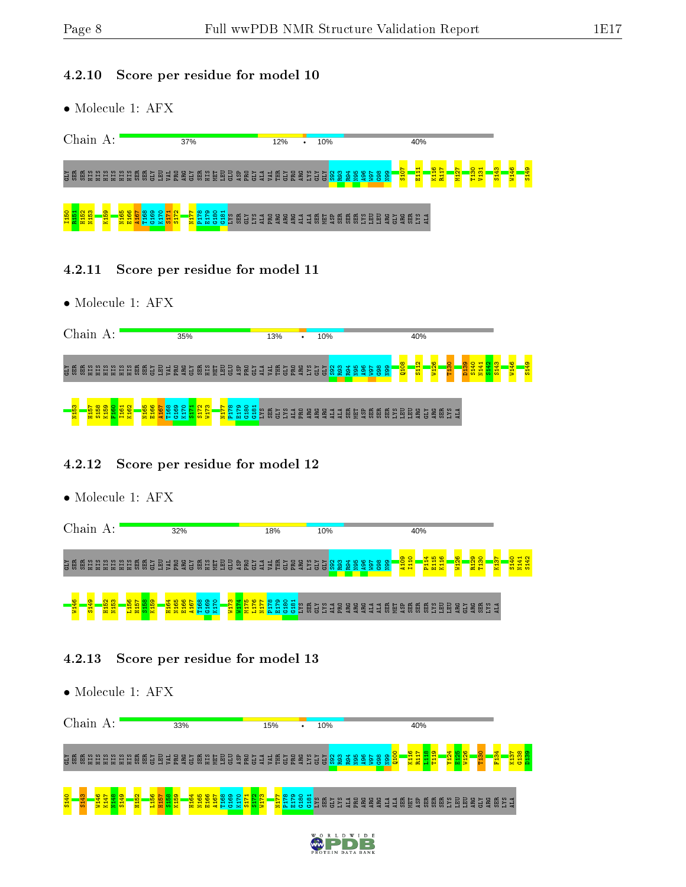#### 4.2.10 Score per residue for model 10

• Molecule 1: AFX

| Chain<br>А:                                                                       | 37%                                                                                                                                                                                             | 10%<br>12%<br>$\bullet$                                                                                                                                                         | 40%                                                                                                                                                    |                                                            |
|-----------------------------------------------------------------------------------|-------------------------------------------------------------------------------------------------------------------------------------------------------------------------------------------------|---------------------------------------------------------------------------------------------------------------------------------------------------------------------------------|--------------------------------------------------------------------------------------------------------------------------------------------------------|------------------------------------------------------------|
| KTD<br><b>SER</b><br>ЯIН<br>岛<br>惡<br>ËË<br>Ě<br>量<br>冒                           | -<br><b>PRO</b><br>B<br><b>BE</b><br>ЕS<br>털<br>52<br><b>ARC</b><br>園<br>惡<br>학<br>s<br>픦<br>ā<br>w                                                                                             | စ<br>÷<br>ര<br><b>CLY</b><br>E<br>$\overline{A}$<br>금<br>훈<br>စ္ထ<br>ஜ<br>இ<br>ă<br>2<br>ᄇ<br>릉<br>₽<br>曷<br>а                                                                  | <b>S107</b><br>$\frac{2}{16}$<br>႙<br>룲<br>٠Ħ,<br>득<br>$\infty$ $\infty$<br>$\mathbf{\alpha}$<br>붑<br>Έ<br>뎧<br>$\overline{\mathbf{5}}$<br>g<br>률<br>호 | <mark>GFTS</mark><br>$\frac{1}{2}$<br>₩<br>$5\overline{5}$ |
| 150<br>ത<br><b>SC</b><br>۰o<br>ာ<br>S.<br>N <sub>16</sub><br>a H<br><b>M</b><br>= | െ<br>$\sim \infty$<br>$\Omega$ $\Omega$ $\vdash$<br>$\sim$<br>മ<br>∘<br>್ಷ ಇ<br>恩<br>s<br>ıю<br>Ξù<br>ш<br>F.<br><b>DO</b><br>$\overline{r}$<br>r h<br><b>The State</b><br><b>COL</b><br>$\sim$ | 局<br>66 B<br>ស ស<br>臣<br>矗<br>ੂਲ<br>耑<br>2<br>넕<br>≋<br>ARG<br>e<br>ARC<br>. .<br>ы<br>ы<br>Б<br>$\frac{3}{4}$ m<br>65<br>a<br>$\overline{m}$<br>э<br>高高<br>a.<br>급<br>- 1<br>− | SX <sub>7</sub><br>A <sub>LA</sub><br>ARG<br>ន្ល<br>ARG<br>n<br>Б                                                                                      |                                                            |

- 4.2.11 Score per residue for model 11
- Molecule 1: AFX



#### 4.2.12 Score per residue for model 12

|                     |              |                  |          |             | $\bullet$ Molecule 1: AFX |      |                                   |  |             |                  |      |  |                             |                        |          |   |    |     |   |            |                |  |     |     |  |  |                                                                                                   |             |              |                                               |                             |  |             |                  |      |                |                  |                  |              |  |
|---------------------|--------------|------------------|----------|-------------|---------------------------|------|-----------------------------------|--|-------------|------------------|------|--|-----------------------------|------------------------|----------|---|----|-----|---|------------|----------------|--|-----|-----|--|--|---------------------------------------------------------------------------------------------------|-------------|--------------|-----------------------------------------------|-----------------------------|--|-------------|------------------|------|----------------|------------------|------------------|--------------|--|
|                     |              |                  | Chain A: |             |                           |      |                                   |  |             |                  | 32%  |  |                             |                        |          |   |    | 18% |   |            |                |  |     | 10% |  |  |                                                                                                   |             |              | 40%                                           |                             |  |             |                  |      |                |                  |                  |              |  |
|                     | <b>NE 55</b> | Ë                | ЯIН      | ЯH          | <b>EEEE</b>               |      | <b>gg38</b>                       |  |             |                  |      |  |                             | <b>AREGURYER BREEF</b> |          |   |    | VAL | 眉 | <b>GLY</b> | <b>RESES</b>   |  | GLY |     |  |  | $\frac{1}{2}$ $\frac{8}{8}$ $\frac{8}{2}$ $\frac{3}{2}$ $\frac{4}{2}$ $\frac{6}{2}$ $\frac{3}{2}$ | egg<br>Repo | A109<br>I110 |                                               | <b>PI14</b><br>E115<br>K116 |  | <b>N126</b> | R <sub>129</sub> | T130 |                | K <sub>137</sub> | S <sub>140</sub> | N141<br>S142 |  |
| <mark>96 [1]</mark> |              | S <sub>149</sub> |          | <b>H152</b> | N153                      | L156 | 이 <mark>용합</mark><br>2012<br>2014 |  | <b>H164</b> | N <sub>165</sub> | E166 |  | <b>AIS7</b><br>T168<br>G169 | K170                   | ဇူ<br>55 | 륳 | 日星 | 문화  |   | ္လွ<br>-75 | $rac{54}{182}$ |  |     |     |  |  |                                                                                                   |             |              | <b>NO SER SES SE EN RE SU NO SE EN SES SE</b> |                             |  |             |                  |      | ី<br>ក្តី អ្នក |                  |                  |              |  |

#### 4.2.13 Score per residue for model 13

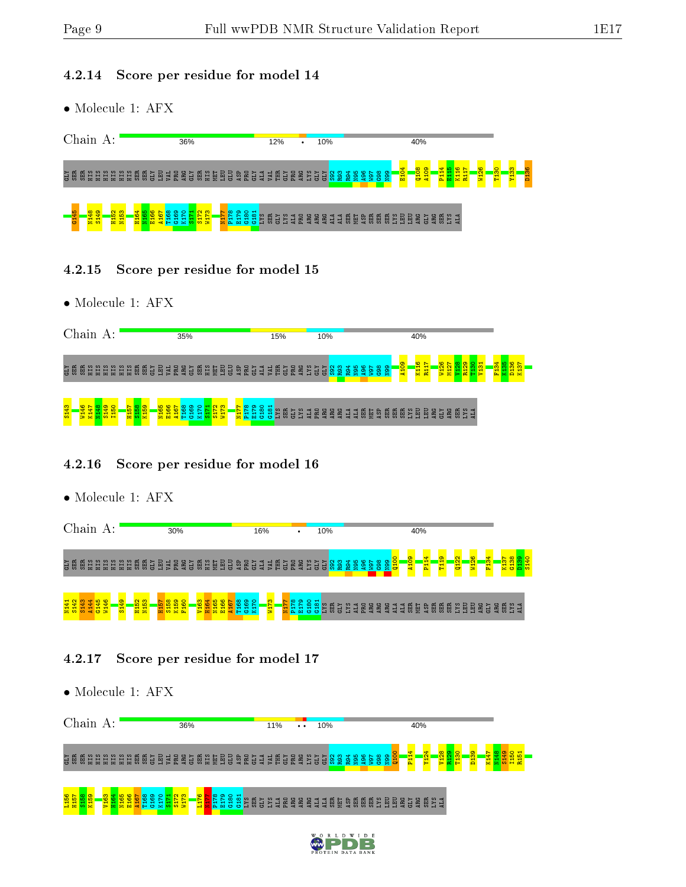#### 4.2.14 Score per residue for model 14

• Molecule 1: AFX

| Chain             |            |                 |               | А: |                                                   |   |         |   |     |   |     |                           |           | 36% |                   |    |   |   |           |     |              |                 |       | 12% |             |                      |        | $\bullet$ |           | 10% |              |                |         |        |                  |      |                         |            |           |              | 40%      |          |     |                                |        |                     |                   |         |        |  |
|-------------------|------------|-----------------|---------------|----|---------------------------------------------------|---|---------|---|-----|---|-----|---------------------------|-----------|-----|-------------------|----|---|---|-----------|-----|--------------|-----------------|-------|-----|-------------|----------------------|--------|-----------|-----------|-----|--------------|----------------|---------|--------|------------------|------|-------------------------|------------|-----------|--------------|----------|----------|-----|--------------------------------|--------|---------------------|-------------------|---------|--------|--|
| KTD<br><b>SER</b> | <b>SER</b> | <b>STR</b><br>E | 量             | 量  | 目                                                 | 冒 | 惡       | 힗 | 급   | Q |     | 훈                         | <b>AC</b> | 남   | 照                 | űБ | 뇧 | 回 | H         | ឆ្ន | 畐            | 님               | 브     | S   | Ē           | ᆷ<br>置               | ∊<br>a | ш         | -<br>븅    | ➤   | $\sim$<br>冒め | m<br>22        | ₩<br>22 | ю<br>ஜ | $\circ$<br>ာ့ ဇွ |      | $\infty$ $\infty$<br>8, | 乮          | 圖         | $\mathbf{E}$ | l8<br>흉  | ႜႜႜ<br>호 |     | $\overline{\phantom{a}}$<br>문도 | 륯<br>률 | 8 <sup>o</sup><br>Ξ | $\mathbf{S}$<br>F | ္က<br>로 | ႙<br>Б |  |
| <b>CS</b>         |            | 148<br>z        | $\frac{1}{2}$ |    | $\mathbf{\alpha}$ $\mathbf{\omega}$<br>H15<br>N15 |   | စ<br>唱目 |   | - M |   | a H | ക<br>ista<br>1952<br>1953 |           |     | $\mathbf{\Omega}$ | က  |   |   | ∎∞<br>불불법 | െ   | $\circ$<br>≌ | ⊣<br>ఇ<br>'oo⊟⊾ | និន្ន | GLY | <b>Part</b> | ಜ<br>$\overline{AB}$ | 믍<br>ᇟ | 윤<br>a    | <b>BC</b> | ARG | E            | $\overline{4}$ | ន្ល     | ŅЕТ    | ASE              | SER. | ន្តធ                    | និ<br>ប្តា | 요 얺<br>-3 | 回            | - 윤<br>a | KTD      | ARG | ទីដឹង<br>និង                   |        |                     |                   |         |        |  |

- 4.2.15 Score per residue for model 15
- Molecule 1: AFX



#### 4.2.16 Score per residue for model 16

• Molecule 1: AFX



#### 4.2.17 Score per residue for model 17



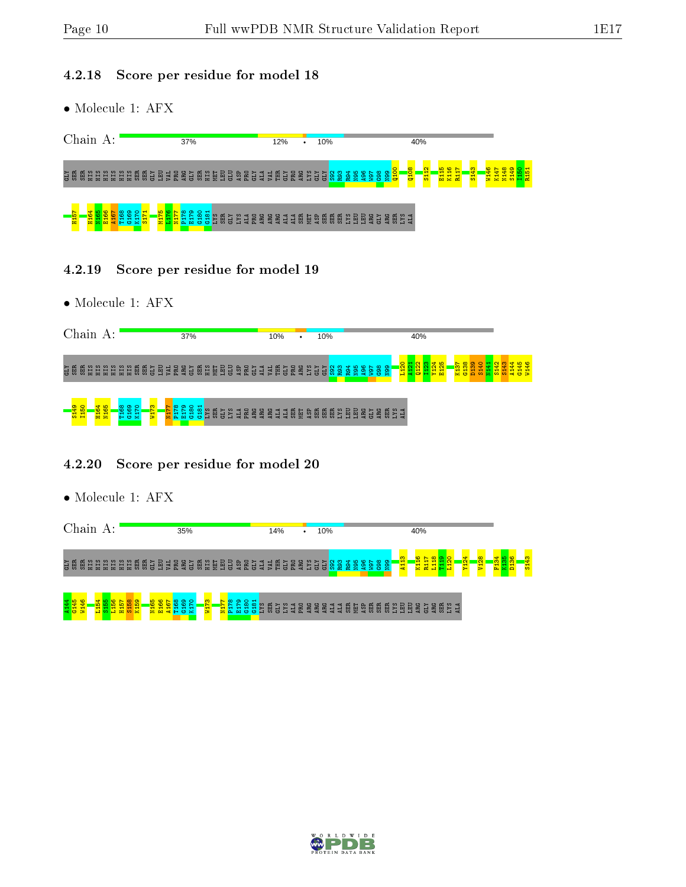#### 4.2.18 Score per residue for model 18

• Molecule 1: AFX

| Chain                 |            | А:              |                  |   |            |   |    |                       |            | 37%    |                  |                                    |          |                      |                |                |                  |           | 12%       |   |                 | ٠      |     | 10%             |        |          |                 |        |            |                 |            |                                |            | 40% |   |                                |   |        |        |                  |   |    |  |
|-----------------------|------------|-----------------|------------------|---|------------|---|----|-----------------------|------------|--------|------------------|------------------------------------|----------|----------------------|----------------|----------------|------------------|-----------|-----------|---|-----------------|--------|-----|-----------------|--------|----------|-----------------|--------|------------|-----------------|------------|--------------------------------|------------|-----|---|--------------------------------|---|--------|--------|------------------|---|----|--|
| <b>SER</b><br>惡<br>남  | Ě<br>E     | 름               | 븝<br>H           | H | 딨<br>惡     | 금 | 圄  | PRO<br>$\overline{M}$ | <b>ARC</b> | 금      | 횴                | Ě<br>뗽                             | EU       | $\Xi$                | $\overline{a}$ | 훈              | 님<br>e           | E         | Ē         | 님 | <b>ARG</b><br>E | Ξ      | 늲   | 님               | ĝ      | 2        | ₩<br>2<br>ஜ     | 496    | ~<br>்ஜ    | $\infty$<br>ğ   | െ<br>용봉    | <b>R</b> .                     | 0108       | 륢   | 읙 | <b>SC</b><br>÷<br><b>교</b> 료 보 | 읩 | э<br>륢 | ¥<br>륳 | 留<br>₩<br>륯<br>ۦ | 긂 | 음물 |  |
| -<br>田 <mark>5</mark> | <b>H16</b> | G<br><b>E16</b> | ∞<br>ā<br>ə<br>⊩ | ಾ | $\times m$ |   | 물품 | E.                    | ∞<br>ഥ.    | ာ<br>м | <b>The State</b> | ≌<br><b>SP</b><br>. .<br><b>C5</b> | <b>图</b> | n.<br>$\overline{5}$ | 覺<br>Т.        | $\overline{a}$ | ន្ថ<br><b>BC</b> | <b>BC</b> | <b>BC</b> | Ę | 蒽<br>Ę          | 局<br>员 | ASP | S <sub>ER</sub> | 囹<br>긂 | <b>图</b> | 모 얺<br>э<br>. . | 品<br>m | <b>ARG</b> | r.<br><b>F5</b> | <b>ARG</b> | S2<br>矗<br>$\overline{5}$<br>ப | <b>ALA</b> |     |   |                                |   |        |        |                  |   |    |  |

- 4.2.19 Score per residue for model 19
- Molecule 1: AFX

| Chain A:                                                                                          | 37%                                                                                                                    | 10%<br>10%<br>$\bullet$                                                                                                              | 40%                                                                                                                                                                   |                                                                                  |
|---------------------------------------------------------------------------------------------------|------------------------------------------------------------------------------------------------------------------------|--------------------------------------------------------------------------------------------------------------------------------------|-----------------------------------------------------------------------------------------------------------------------------------------------------------------------|----------------------------------------------------------------------------------|
| ដូ ឌី<br><b>SER</b><br>ЯIН<br>EIIS<br>Eщ<br><b>SER</b><br>SE <sub>E</sub><br>Ë<br>Ë<br>Ë          | <b>GLU</b><br>ERO<br>冒<br>回<br>EEO<br>ЯIН<br>ASF<br><b>SER</b><br>ARG<br>MЕТ<br><b>CLY</b><br>G<br>G<br>$\overline{M}$ | R <sub>93</sub><br><b>S.KT</b><br><b>ATD</b><br>E<br><b>PRO</b><br><b>ARG</b><br>ALA<br>GLY<br>$\overline{5}$<br>$\overline{5}$<br>ĝ | $\overline{\mathbf{S}}$<br>8 <sub>1</sub><br>စ္က<br>စ္က<br>ड़<br>듦<br><b>88</b><br>86<br><b>R94</b><br><b>N</b> 95<br><b>TGM</b><br>ă<br>불화<br>불법<br>봌<br>륣<br>룡<br>륁 | $\frac{1}{2}$ $\frac{1}{2}$ $\frac{1}{2}$ $\frac{1}{2}$ $\frac{1}{2}$<br>공중<br>Ξ |
| <u>4 ro</u><br>3149<br>1150<br>െ<br><b>H16</b><br>N16<br>G169<br>$\mathfrak{a}$<br>$\blacksquare$ | <b>RZIN</b><br>∞<br>C18<br><b>G<sub>18</sub></b><br>ន្ន<br>윤<br><b>EXT</b><br>Ξ<br>SKI<br><b>KTD</b><br>日<br>Ξ         | SER<br><b>gggggggag</b><br>ĒЦ<br>ARG<br>ARG<br>ARG<br>ALA                                                                            | <b>គីម្តុង</b><br>និដ្ឋប្តូ<br>ARG<br>CLY                                                                                                                             |                                                                                  |

#### 4.2.20 Score per residue for model 20

| Chain           | А:            |               |                     |            | 35%             |        |      |             |             |          | 14%        |                 |                 | $\bullet$ |                  | 10% |     |                           |     |                              |           |                |   | 40%                  |             |                 |        |                  |                        |  |        |
|-----------------|---------------|---------------|---------------------|------------|-----------------|--------|------|-------------|-------------|----------|------------|-----------------|-----------------|-----------|------------------|-----|-----|---------------------------|-----|------------------------------|-----------|----------------|---|----------------------|-------------|-----------------|--------|------------------|------------------------|--|--------|
| ដូឌី<br>ĚЕ<br>岛 | ЯH<br>법법<br>Ë | 貿貿<br>쁲       | 国<br>E <sub>N</sub> | <b>IRI</b> | <b>SE 35 BI</b> |        | 1999 | <b>ASP</b>  | <b>BECT</b> |          | <b>IRV</b> | <b>CLY</b><br>圉 | <b>ARG</b><br>봆 | Ľ.        | <b>KTD</b><br>ΣJ |     | စ္အ | 894<br>R94<br><b>Sell</b> | န္ဘ | G <sub>98</sub><br><b>ig</b> | <b>eg</b> | S<br><b>ER</b> |   | $\blacksquare$<br>븇  | Ē<br>E<br>冒 |                 | ន<br>Э | Y <sub>124</sub> | <b>V<sub>128</sub></b> |  | ₩<br>흙 |
| 를               | 륟<br>பன       | ဇွာ<br>븇<br>륢 | ۰o<br>အ<br>풉<br>룔   | 불표령        | ജ<br>₹          | S<br>륳 | 를    | တ<br>문<br>풉 | 품           | C18<br>h | EE         | <b>SKT</b><br>금 | ERO<br>Б        | <b>B</b>  | ARC<br>Ă         | 님   | 브   | <b>SER</b><br>딜           | 5   | <u>គ្គ គ្គ</u>               | EE        | 目<br>ă         | 層 | AR <sub>G</sub><br>흄 | <b>ARG</b>  | <b>SKT</b><br>高 | E      |                  |                        |  |        |

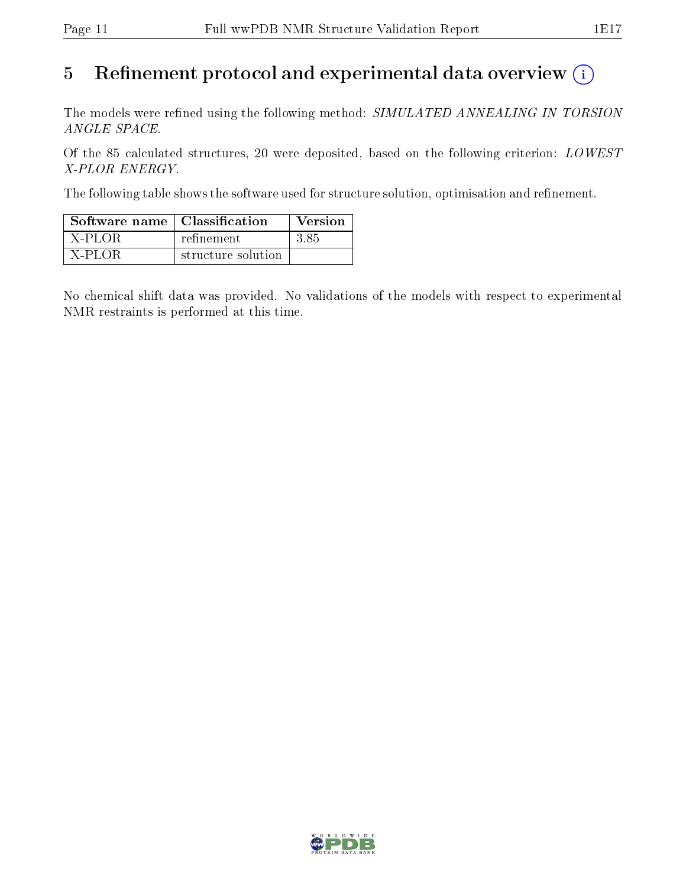# 5 Refinement protocol and experimental data overview  $\binom{1}{k}$

The models were refined using the following method: SIMULATED ANNEALING IN TORSION ANGLE SPACE.

Of the 85 calculated structures, 20 were deposited, based on the following criterion: LOWEST X-PLOR ENERGY.

The following table shows the software used for structure solution, optimisation and refinement.

| Software name   Classification |                    | <b>Version</b> |
|--------------------------------|--------------------|----------------|
| X-PLOR                         | refinement         | -3-85          |
| X-PLOR                         | structure solution |                |

No chemical shift data was provided. No validations of the models with respect to experimental NMR restraints is performed at this time.

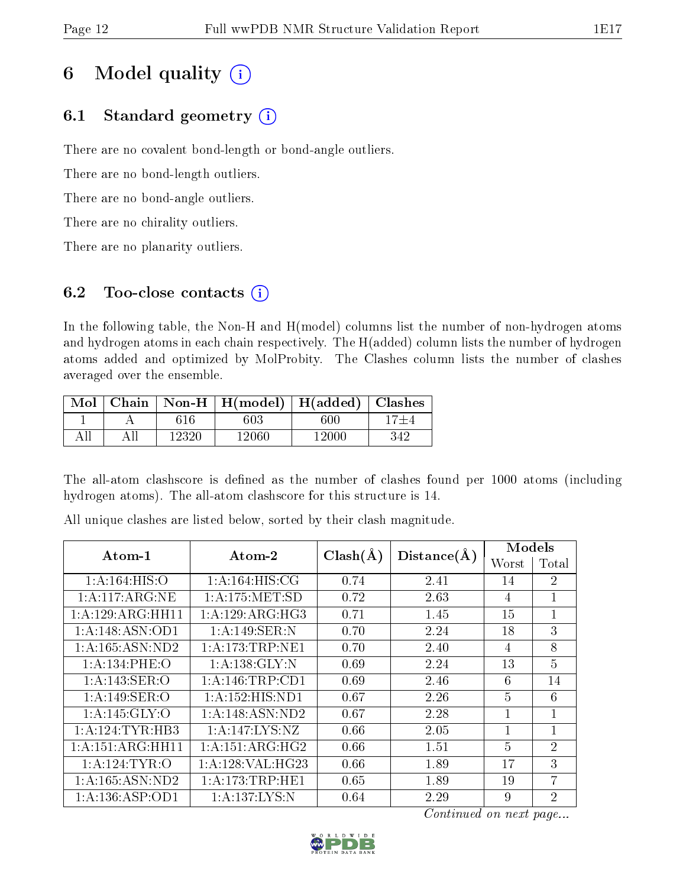# 6 Model quality  $(i)$

## 6.1 Standard geometry  $(i)$

There are no covalent bond-length or bond-angle outliers.

There are no bond-length outliers.

There are no bond-angle outliers.

There are no chirality outliers.

There are no planarity outliers.

## 6.2 Too-close contacts  $(i)$

In the following table, the Non-H and H(model) columns list the number of non-hydrogen atoms and hydrogen atoms in each chain respectively. The H(added) column lists the number of hydrogen atoms added and optimized by MolProbity. The Clashes column lists the number of clashes averaged over the ensemble.

| Mol |       | Chain   Non-H   $H (model)$   $H (added)$ |       | Clashes |
|-----|-------|-------------------------------------------|-------|---------|
|     | 616   | 603                                       | 600   |         |
|     | 12320 | 12060                                     | 12000 | 342     |

The all-atom clashscore is defined as the number of clashes found per 1000 atoms (including hydrogen atoms). The all-atom clashscore for this structure is 14.

| Atom-1                     | Atom-2             |              |             | Models         |                 |  |
|----------------------------|--------------------|--------------|-------------|----------------|-----------------|--|
|                            |                    | $Clash(\AA)$ | Distance(A) | Worst          | Total           |  |
| 1: A:164: HIS:O            | 1: A:164: HIS: CG  | 0.74         | 2.41        | 14             | $\overline{2}$  |  |
| 1:A:117:ARG:NE             | 1: A: 175: MET:SD  | 0.72         | 2.63        | $\overline{4}$ | $\mathbf{1}$    |  |
| 1:A:129:ARG:HH11           | 1: A:129: ARG:HG3  | 0.71         | 1.45        | 15             | 1               |  |
| 1:A:148:ASN:OD1            | 1:A:149:SER:N      | 0.70         | 2.24        | 18             | 3               |  |
| 1: A: 165: ASN: ND2        | 1:A:173:TRP:NE1    | 0.70         | 2.40        | $\overline{4}$ | 8               |  |
| 1: A:134: PHE:O            | 1: A: 138: GLY: N  | 0.69         | 2.24        | 13             | 5               |  |
| 1:A:143:SER:O              | 1: A:146:TRP:CD1   | 0.69         | 2.46        | 6              | 14              |  |
| 1: A:149: SER:O            | 1:A:152:HIS:ND1    | 0.67         | 2.26        | $\overline{5}$ | $6\phantom{.}6$ |  |
| $1:A:145:G\overline{LY:O}$ | 1:A:148:ASN:ND2    | 0.67         | 2.28        |                | 1               |  |
| 1:A:124:TYR:HB3            | 1: A: 147: LYS: NZ | 0.66         | 2.05        | 1              | $\mathbf{1}$    |  |
| 1:A:151:ARG:HH11           | 1: A:151: ARG:HG2  | 0.66         | 1.51        | $\overline{5}$ | $\overline{2}$  |  |
| 1:A:124:TYR:O              | 1: A:128: VAL:HG23 | 0.66         | 1.89        | 17             | 3               |  |
| 1: A: 165: ASN: ND2        | 1: A:173:TRP:HE1   | 0.65         | 1.89        | 19             | 7               |  |
| 1:A:136:ASP:OD1            | 1: A: 137: LYS: N  | 0.64         | 2.29        | 9              | $\overline{2}$  |  |

All unique clashes are listed below, sorted by their clash magnitude.

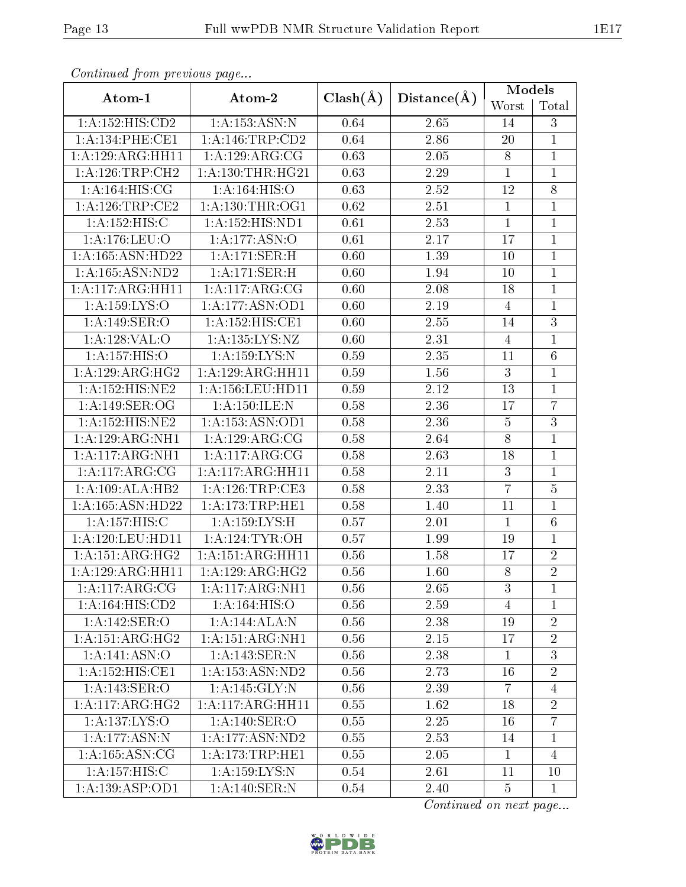| Comunaca jiom previous page |                            |                   |             | Models         |                |
|-----------------------------|----------------------------|-------------------|-------------|----------------|----------------|
| Atom-1                      | Atom-2                     | $Clash(\AA)$      | Distance(A) | Worst          | Total          |
| 1:A:152:HIS:CD2             | 1: A: 153: ASN: N          | 0.64              | 2.65        | 14             | 3              |
| 1: A:134:PHE:CE1            | 1: A:146:TRP:CD2           | 0.64              | 2.86        | 20             | $\mathbf{1}$   |
| 1:A:129:ARG:HH11            | 1:A:129:ARG:CG             | 0.63              | $2.05\,$    | 8              | $\mathbf{1}$   |
| 1: A:126:TRP:CH2            | 1: A: 130: THR: HG21       | 0.63              | 2.29        | $\mathbf{1}$   | $\mathbf{1}$   |
| 1:A:164:HIS:CG              | 1:A:164:HIS:O              | 0.63              | 2.52        | 12             | $\overline{8}$ |
| 1: A:126:TRP:CE2            | 1: A: 130: THR: OG1        | $\overline{0.62}$ | 2.51        | $\mathbf{1}$   | $\mathbf{1}$   |
| 1: A:152:HIS:C              | 1:A:152:HIS:ND1            | 0.61              | 2.53        | $\overline{1}$ | $\mathbf{1}$   |
| 1: A:176: LEU:O             | $1:A:177:A\overline{SN:O}$ | 0.61              | 2.17        | 17             | $\mathbf{1}$   |
| 1:A:165:ASN:HD22            | 1:A:171:SER:H              | 0.60              | 1.39        | 10             | $\overline{1}$ |
| 1:A:165:ASN:ND2             | 1:A:171:SER:H              | 0.60              | 1.94        | 10             | $\mathbf 1$    |
| 1:A:117:ARG:HH11            | 1:A:117:ARG:CG             | 0.60              | 2.08        | 18             | $\overline{1}$ |
| 1:A:159:LYS:O               | 1:A:177:ASN:OD1            | 0.60              | 2.19        | $\overline{4}$ | $\mathbf 1$    |
| 1:A:149:SER:O               | 1:A:152:HIS:CE1            | 0.60              | 2.55        | 14             | $\overline{3}$ |
| 1:A:128:VAL:O               | 1: A: 135: LYS: NZ         | 0.60              | 2.31        | $\overline{4}$ | $\mathbf 1$    |
| 1:A:157:HIS:O               | 1:A:159:LYS:N              | 0.59              | 2.35        | 11             | $\overline{6}$ |
| 1:A:129:ARG:HG2             | 1:A:129:ARG:HH11           | 0.59              | 1.56        | $\mathbf{3}$   | $\mathbf{1}$   |
| 1:A:152:HIS:NE2             | 1:A:156:LEU:HD11           | 0.59              | 2.12        | 13             | $\mathbf{1}$   |
| 1:A:149:SER:OG              | 1: A:150: ILE:N            | 0.58              | 2.36        | 17             | $\overline{7}$ |
| 1:A:152:HIS:NE2             | 1:A:153:ASN:OD1            | 0.58              | 2.36        | $\bf 5$        | $\overline{3}$ |
| 1:A:129:ARG:NH1             | 1:A:129:ARG:CG             | 0.58              | 2.64        | $8\,$          | $\overline{1}$ |
| 1: A:117: ARG: NH1          | 1:A:117:ARG:CG             | 0.58              | 2.63        | 18             | $\mathbf{1}$   |
| 1: A:117:ARG:CG             | 1:A:117:ARG:HH11           | 0.58              | 2.11        | 3              | $\mathbf 1$    |
| 1:A:109:ALA:HB2             | 1: A:126:TRP:CE3           | 0.58              | 2.33        | $\overline{7}$ | $\overline{5}$ |
| 1:A:165:ASN:HD22            | 1:A:173:TRP:HE1            | 0.58              | 1.40        | 11             | $\mathbf{1}$   |
| 1:A:157:HIS:C               | 1:A:159:LYS:H              | 0.57              | 2.01        | $\mathbf{1}$   | $\sqrt{6}$     |
| 1:A:120:LEU:HDI1            | 1: A:124:TYR:OH            | 0.57              | 1.99        | 19             | $\overline{1}$ |
| 1: A:151: ARG: HG2          | 1:A:151:ARG:HH11           | 0.56              | 1.58        | 17             | $\sqrt{2}$     |
| 1:A:129:ARG:HH11            | 1:A:129:ARG:HG2            | 0.56              | 1.60        | $\overline{8}$ | $\overline{2}$ |
| 1: A:117: ARG: CG           | 1: A:117: ARG: NH1         | 0.56              | 2.65        | 3              | $\mathbf{1}$   |
| 1:A:164:HIS:CD2             | 1:A:164:HIS:O              | 0.56              | 2.59        | $\overline{4}$ | $\overline{1}$ |
| 1:A:142:SER:O               | 1:A:144:ALA:N              | 0.56              | 2.38        | 19             | $\overline{2}$ |
| 1:A:151:ARG:HG2             | 1: A: 151: ARG: NH1        | 0.56              | 2.15        | 17             | $\overline{2}$ |
| 1:A:141:ASN:O               | 1: A:143: SER: N           | 0.56              | 2.38        | $\mathbf{1}$   | $\overline{3}$ |
| 1:A:152:HIS:CE1             | 1:A:153:ASN:ND2            | 0.56              | 2.73        | 16             | $\overline{2}$ |
| 1:A:143:SER:O               | 1:A:145:GLY:N              | 0.56              | 2.39        | $\overline{7}$ | $\overline{4}$ |
| 1: A:117: ARG: HG2          | 1:A:117:ARG:HH11           | 0.55              | 1.62        | 18             | $\overline{2}$ |
| 1:A:137:LYS:O               | 1:A:140:SER:O              | 0.55              | 2.25        | 16             | $\overline{7}$ |
| 1:A:177:ASN:N               | 1:A:177:ASN:ND2            | 0.55              | 2.53        | 14             | $\mathbf{1}$   |
| 1: A: 165: ASN: CG          | 1:A:173:TRP:HE1            | 0.55              | 2.05        | $\mathbf{1}$   | $\overline{4}$ |
| 1:A:157:HIS:C               | 1: A: 159: LYS: N          | 0.54              | 2.61        | 11             | 10             |
| 1:A:139:ASP:OD1             | 1: A:140: SER: N           | 0.54              | 2.40        | $\overline{5}$ | $\mathbf{1}$   |

Continued from previous page.

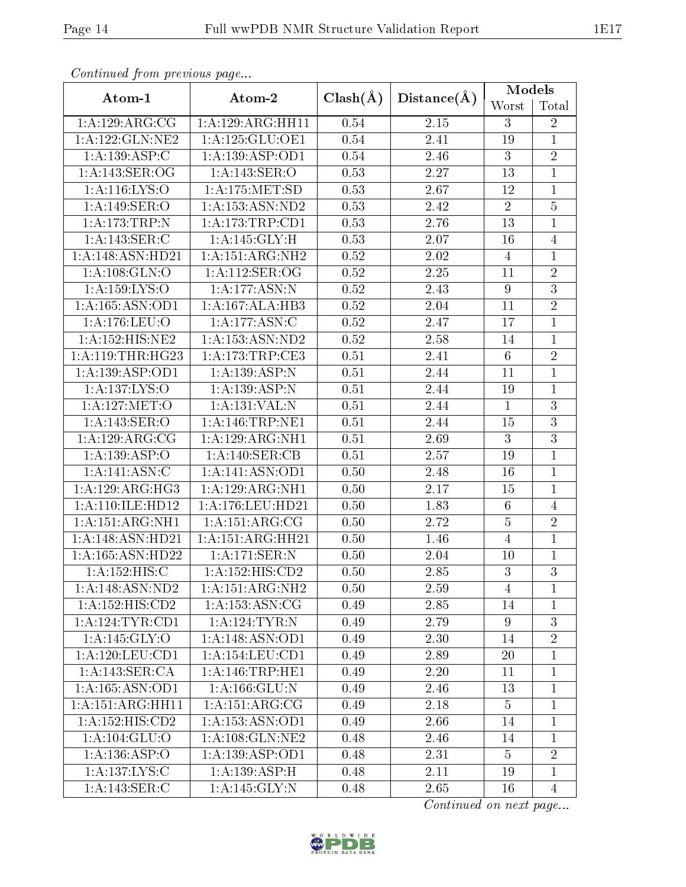| Continuata from previous page |                              |              |             | Models          |                |
|-------------------------------|------------------------------|--------------|-------------|-----------------|----------------|
| Atom-1                        | Atom-2                       | $Clash(\AA)$ | Distance(A) | Worst           | Total          |
| 1: A: 129: ARG: CG            | 1: A: 129: ARG: HH11         | 0.54         | $2.15\,$    | 3               | $\overline{2}$ |
| 1: A: 122: GLN: NE2           | 1: A: 125: GLU: OE1          | 0.54         | 2.41        | 19              | $\mathbf{1}$   |
| 1:A:139:ASP:C                 | 1: A: 139: ASP: OD1          | 0.54         | 2.46        | 3               | $\overline{2}$ |
| 1:A:143:SER:OG                | 1:A:143:SER:O                | 0.53         | 2.27        | 13              | $\mathbf{1}$   |
| 1:A:116:LYS:O                 | 1: A: 175: MET: SD           | 0.53         | 2.67        | 12              | $\mathbf{1}$   |
| 1:A:149:SER:O                 | $1:\overline{A:153:ASN:ND2}$ | 0.53         | 2.42        | $\overline{2}$  | $\overline{5}$ |
| 1:A:173:TRP:N                 | 1: A:173:TRP:CD1             | 0.53         | 2.76        | 13              | $\overline{1}$ |
| 1:A:143:SER:C                 | 1:A:145:GLY:H                | 0.53         | 2.07        | 16              | $\overline{4}$ |
| 1:A:148:ASN:HD21              | 1:A:151:ARG:NH2              | 0.52         | 2.02        | $\overline{4}$  | $\mathbf{1}$   |
| 1:A:108:GLN:O                 | 1:A:112:SER:OG               | 0.52         | $2.25\,$    | 11              | $\sqrt{2}$     |
| 1: A: 159: LYS: O             | 1: A:177: ASN:N              | 0.52         | 2.43        | $9\phantom{.}$  | $\overline{3}$ |
| 1: A: 165: ASN: OD1           | 1:A:167:ALA:HB3              | 0.52         | 2.04        | 11              | $\overline{2}$ |
| 1: A:176: LEU:O               | 1: A: 177: ASN: C            | 0.52         | 2.47        | 17              | $\overline{1}$ |
| 1:A:152:HIS:NE2               | 1: A: 153: ASN: ND2          | 0.52         | 2.58        | 14              | $\mathbf 1$    |
| 1: A:119:THR:HG23             | 1: A:173:TRP:CE3             | 0.51         | 2.41        | $6\phantom{.}6$ | $\overline{2}$ |
| 1:A:139:ASP:OD1               | 1:A:139:ASP:N                | 0.51         | 2.44        | 11              | $\mathbf{1}$   |
| 1:A:137:LYS:O                 | 1:A:139:ASP:N                | 0.51         | 2.44        | 19              | $\mathbf{1}$   |
| 1:A:127:MET:O                 | 1:A:131:VAL:N                | 0.51         | 2.44        | $\mathbf{1}$    | $\overline{3}$ |
| 1:A:143:SER:O                 | 1:A:146:TRP:NE1              | 0.51         | 2.44        | 15              | $\overline{3}$ |
| 1: A: 129: ARG: CG            | 1:A:129:ARG:NH1              | 0.51         | 2.69        | 3               | $\overline{3}$ |
| 1:A:139:ASP:O                 | 1: A:140: SER: CB            | 0.51         | 2.57        | 19              | $\mathbf 1$    |
| 1: A:141: ASN: C              | 1:A:141:ASN:OD1              | 0.50         | 2.48        | 16              | $\mathbf{1}$   |
| 1: A: 129: ARG: HG3           | 1:A:129:ARG:NH1              | 0.50         | 2.17        | 15              | $\mathbf{1}$   |
| 1:A:110:ILE:HD12              | 1:A:176:LEU:HD21             | 0.50         | 1.83        | $\sqrt{6}$      | $\overline{4}$ |
| 1:A:151:ARG:NH1               | 1:A:151:ARG:CG               | 0.50         | 2.72        | $\bf 5$         | $\overline{2}$ |
| $1:A:\overline{148:ASN:HD21}$ | 1:A:151:ARG:HH21             | 0.50         | 1.46        | $\overline{4}$  | $\overline{1}$ |
| $1:\overline{A}:165:ASN:HD22$ | 1:A:171:SER:N                | 0.50         | 2.04        | 10              | 1              |
| 1:A:152:HIS:C                 | $1:A:15\overline{2:HIS:CD2}$ | 0.50         | 2.85        | $\overline{3}$  | $\overline{3}$ |
| 1:A:148:ASN:ND2               | 1:A:151:ARG:NH2              | 0.50         | 2.59        | 4               | $\mathbf 1$    |
| 1:A:152:HIS:CD2               | 1: A: 153: ASN: CG           | 0.49         | 2.85        | 14              | $\overline{1}$ |
| 1:A:124:TYR:CD1               | 1:A:124:TYR:N                | 0.49         | 2.79        | $9\phantom{.0}$ | $\overline{3}$ |
| 1:A:145:GLY:O                 | 1: A:148: ASN:OD1            | 0.49         | 2.30        | 14              | $\overline{2}$ |
| 1:A:120:LEU:CD1               | 1:A:154:LEU:CD1              | 0.49         | 2.89        | 20              | 1              |
| 1:A:143:SER:CA                | 1: A:146:TRP:HE1             | 0.49         | 2.20        | 11              | $\mathbf{1}$   |
| 1: A: 165: ASN: OD1           | 1: A: 166: GLU: N            | 0.49         | 2.46        | 13              | $\overline{1}$ |
| 1:A:151:ARG:HH11              | 1:A:151:ARG:CG               | 0.49         | 2.18        | $\overline{5}$  | $\mathbf 1$    |
| 1:A:152:HIS:CD2               | 1: A: 153: ASN: OD1          | 0.49         | 2.66        | 14              | $\mathbf 1$    |
| 1:A:104:GLU:O                 | 1: A:108: GLN:NE2            | 0.48         | 2.46        | 14              | $\mathbf 1$    |
| 1:A:136:ASP:O                 | 1: A: 139: ASP: OD1          | 0.48         | 2.31        | $\overline{5}$  | $\overline{2}$ |
| 1: A: 137: LYS:C              | 1:A:139:ASP:H                | 0.48         | 2.11        | 19              | $\mathbf 1$    |
| 1:A:143:SER:C                 | 1:A:145:GLY:N                | 0.48         | 2.65        | 16              | $\overline{4}$ |

Continued from previous page.

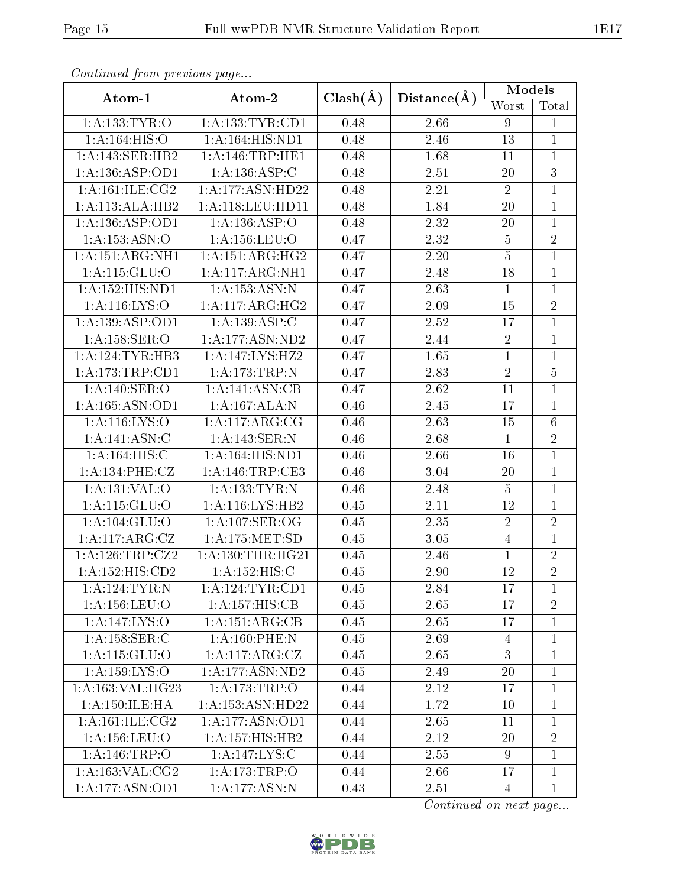| s o heenasa jirane proceso as-pago |                                 |              |             | Models         |                                 |
|------------------------------------|---------------------------------|--------------|-------------|----------------|---------------------------------|
| Atom-1                             | Atom-2                          | $Clash(\AA)$ | Distance(A) | Worst          | $\operatorname{\mathsf{Total}}$ |
| 1:A:133:TYR:O                      | 1:A:133:TYR:CD1                 | 0.48         | 2.66        | 9              | $\mathbf{1}$                    |
| 1:A:164:HIS:O                      | 1:A:164:HIS:ND1                 | 0.48         | 2.46        | 13             | $\mathbf{1}$                    |
| 1:A:143:SER:HB2                    | 1:A:146:TRP:HE1                 | 0.48         | 1.68        | 11             | $\overline{1}$                  |
| $1:A:\overline{136:ASP:OD1}$       | 1: A: 136: ASP: C               | 0.48         | 2.51        | 20             | $\overline{3}$                  |
| 1: A:161: ILE: CG2                 | 1:A:177:ASN:HD22                | 0.48         | 2.21        | $\sqrt{2}$     | $\overline{1}$                  |
| 1:A:113:ALA:HB2                    | 1: A:118: LEU: HD11             | 0.48         | 1.84        | 20             | $\mathbf{1}$                    |
| 1:A:136:ASP:OD1                    | 1:A:136:ASP:O                   | 0.48         | 2.32        | 20             | $\overline{1}$                  |
| 1:A:153:ASN:O                      | 1: A: 156: LEU: O               | 0.47         | 2.32        | $\bf 5$        | $\overline{2}$                  |
| 1:A:151:ARG:NH1                    | 1: A:151: ARG:HG2               | 0.47         | 2.20        | $\overline{5}$ | $\overline{1}$                  |
| 1:A:115:GLU:O                      | 1: A:117: ARG: NH1              | 0.47         | 2.48        | 18             | $\mathbf{1}$                    |
| 1:A:152:HIS:ND1                    | 1: A: 153: ASN: N               | 0.47         | 2.63        | $\mathbf{1}$   | $\mathbf{1}$                    |
| 1: A:116: LYS:O                    | 1: A:117: ARG:HG2               | 0.47         | 2.09        | 15             | $\overline{2}$                  |
| 1:A:139:ASP:OD1                    | 1:A:139:ASP:C                   | 0.47         | 2.52        | 17             | $\overline{1}$                  |
| 1:A:158:SER:O                      | 1:A:177:ASN:ND2                 | 0.47         | 2.44        | $\sqrt{2}$     | $\mathbf{1}$                    |
| 1:A:124:TYR:HB3                    | 1:A:147:LYS:HZ2                 | 0.47         | 1.65        | $\mathbf{1}$   | $\mathbf{1}$                    |
| 1:A:173:TRP:CD1                    | 1: A:173:TRP:N                  | 0.47         | 2.83        | $\overline{2}$ | $\overline{5}$                  |
| 1: A:140: SER:O                    | 1:A:141:ASN:CB                  | 0.47         | 2.62        | 11             | $\mathbf{1}$                    |
| 1:A:165:ASN:OD1                    | 1:A:167:ALA:N                   | 0.46         | $2.45\,$    | 17             | $\overline{1}$                  |
| 1: A:116: LYS:O                    | 1:A:117:ARG:CG                  | 0.46         | 2.63        | 15             | $\overline{6}$                  |
| 1:A:141:ASN:C                      | 1:A:143:SER:N                   | 0.46         | 2.68        | $\mathbf{1}$   | $\overline{2}$                  |
| 1: A:164: HIS:C                    | 1:A:164:HIS:ND1                 | 0.46         | 2.66        | 16             | $\overline{1}$                  |
| 1:A:134:PHE:CZ                     | 1: A:146:TRP:CE3                | 0.46         | 3.04        | 20             | $\overline{1}$                  |
| 1:A:131:VAL:O                      | 1:A:133:TYR:N                   | 0.46         | 2.48        | $\bf 5$        | $\mathbf{1}$                    |
| 1:A:115:GLU:O                      | 1:A:116:LYS:HB2                 | 0.45         | 2.11        | 12             | $\overline{1}$                  |
| 1:A:104:GLU:O                      | 1: A: 107: SER: OG              | 0.45         | 2.35        | $\sqrt{2}$     | $\overline{2}$                  |
| 1:A:117:ARG:CZ                     | 1:A:175:MET:SD                  | 0.45         | 3.05        | $\overline{4}$ | $\overline{1}$                  |
| 1:A:126:TRP:CZ2                    | 1: A: 130: THR: HG21            | 0.45         | 2.46        | $\mathbf{1}$   | $\overline{2}$                  |
| $1:A:15\overline{2:HIS:CD2}$       | 1:A:152:HIS:C                   | 0.45         | 2.90        | 12             | $\overline{2}$                  |
| 1: A: 124: TYR: N                  | 1: A:124:TYR:CD1                | 0.45         | 2.84        | 17             | 1                               |
| 1:A:156:LEU:O                      | 1:A:157:HIS:CB                  | 0.45         | 2.65        | 17             | $\overline{2}$                  |
| 1:A:147:LYS:O                      | 1:A:151:ARG:CB                  | 0.45         | 2.65        | 17             | $\mathbf{1}$                    |
| 1: A:158: SER: C                   | 1: A:160: PHE:N                 | 0.45         | 2.69        | $\overline{4}$ | $\mathbf{1}$                    |
| 1:A:115:GLU:O                      | 1:A:117:ARG:CZ                  | 0.45         | 2.65        | 3              | $\mathbf 1$                     |
| 1: A: 159: LYS: O                  | $1:A:177:ASN:N\overline{D2}$    | 0.45         | 2.49        | 20             | $\mathbf{1}$                    |
| 1:A:163:VAL:HG23                   | 1:A:173:TRP:O                   | 0.44         | 2.12        | 17             | $\mathbf{1}$                    |
| 1: A: 150: ILE: HA                 | 1:A:153:ASN:HD22                | 0.44         | 1.72        | 10             | $\mathbf{1}$                    |
| 1: A:161: ILE: CG2                 | 1:A:177:ASN:OD1                 | 0.44         | 2.65        | 11             | $\mathbf{1}$                    |
| 1: A: 156: LEU: O                  | $1:A:\overline{157:HIS:HB2}$    | 0.44         | 2.12        | 20             | $\overline{2}$                  |
| 1:A:146:TRP:O                      | 1:A:147:LYS:C                   | 0.44         | 2.55        | 9              | $\mathbf{1}$                    |
| 1:A:163:VAL:CG2                    | 1:A:173:TRP:O                   | 0.44         | 2.66        | 17             | $\mathbf{1}$                    |
| 1:A:177:ASN:OD1                    | 1: A:177: <u>ASN</u> : <u>N</u> | 0.43         | 2.51        | $\overline{4}$ | $\mathbf{1}$                    |

Continued from previous page...

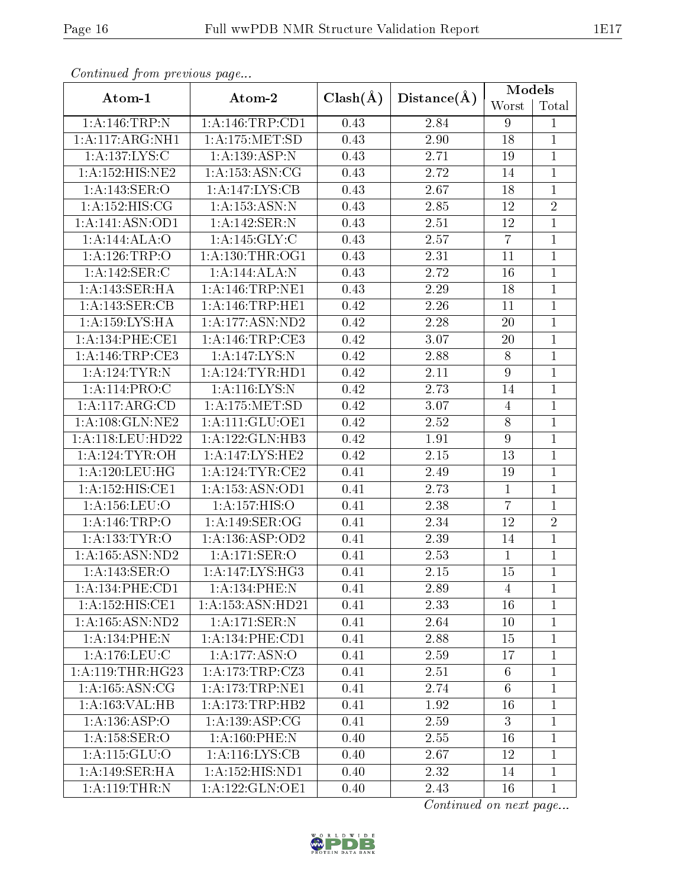| Conningca from previous page |                              |              |                   | Models           |                |
|------------------------------|------------------------------|--------------|-------------------|------------------|----------------|
| Atom-1                       | Atom-2                       | $Clash(\AA)$ | Distance(A)       | Worst            | Total          |
| 1:A:146:TRP:N                | 1:A:146:TRP:CD1              | 0.43         | 2.84              | 9                | 1              |
| 1:A:117:ARG:NH1              | 1:A:175:MET:SD               | 0.43         | $2.90\,$          | 18               | $\mathbf{1}$   |
| 1:A:137:LYS:C                | 1:A:139:ASP:N                | 0.43         | 2.71              | 19               | $\mathbf{1}$   |
| 1: A: 152: HIS: NE2          | 1: A: 153: ASN: CG           | 0.43         | 2.72              | 14               | $\mathbf{1}$   |
| 1:A:143:SER:O                | 1:A:147:LYS:CB               | 0.43         | 2.67              | 18               | $\mathbf{1}$   |
| 1: A: 152: HIS: CG           | 1: A: 153: ASN: N            | 0.43         | 2.85              | 12               | $\overline{2}$ |
| 1:A:141:ASN:OD1              | 1:A:142:SER:N                | 0.43         | 2.51              | 12               | $\overline{1}$ |
| 1:A:144:ALA:O                | 1:A:145:GLY:C                | 0.43         | 2.57              | $\overline{7}$   | $\mathbf{1}$   |
| 1:A:126:TRP:O                | 1: A: 130: THR: OG1          | 0.43         | 2.31              | 11               | $\overline{1}$ |
| 1:A:142:SER:C                | $1:A:144:ALA:\overline{N}$   | 0.43         | 2.72              | 16               | 1              |
| 1:A:143:SER:HA               | 1: A:146:TRP:NE1             | 0.43         | 2.29              | 18               | $\mathbf{1}$   |
| 1:A:143:SER:CB               | 1: A:146:TRP:HE1             | 0.42         | 2.26              | 11               | $\mathbf{1}$   |
| 1:A:159:LYS:HA               | 1:A:177:ASN:ND2              | 0.42         | 2.28              | 20               | $\overline{1}$ |
| 1: A:134:PHE:CE1             | 1: A:146:TRP:CE3             | 0.42         | $\overline{3.07}$ | 20               | $\mathbf{1}$   |
| 1:A:146:TRP:CE3              | 1:A:147:LYS:N                | 0.42         | 2.88              | $8\,$            | $\mathbf{1}$   |
| 1: A: 124: TYR: N            | 1: A:124:TYR:HD1             | 0.42         | $\overline{2}.11$ | $\boldsymbol{9}$ | $\mathbf{1}$   |
| 1:A:114:PRO:C                | 1:A:116:LYS:N                | 0.42         | 2.73              | 14               | $\mathbf{1}$   |
| 1:A:117:ARG:CD               | $1:$ A:175:MET:SD            | 0.42         | 3.07              | $\overline{4}$   | $\mathbf 1$    |
| 1: A: 108: GLN: NE2          | 1: A: 111: GLU: OE1          | 0.42         | 2.52              | 8                | 1              |
| 1:A:118:LEU:HD22             | 1:A:122:GLN:HB3              | 0.42         | 1.91              | $\boldsymbol{9}$ | $\mathbf{1}$   |
| 1: A:124:TYR:OH              | 1:A:147:LYS:HE2              | 0.42         | $2.15\,$          | 13               | $\mathbf{1}$   |
| 1:A:120:LEU:HG               | 1: A:124:TYR:CE2             | 0.41         | 2.49              | 19               | $\mathbf{1}$   |
| 1:A:152:HIS:CE1              | $1:A:15\overline{3:ASN:OD1}$ | 0.41         | 2.73              | $\mathbf{1}$     | $\mathbf{1}$   |
| 1: A: 156: LEU: O            | 1:A:157:HIS:O                | 0.41         | 2.38              | $\overline{7}$   | $\overline{1}$ |
| 1:A:146:TRP:O                | 1:A:149:SER:OG               | 0.41         | 2.34              | 12               | $\overline{2}$ |
| 1: A: 133: TYR: O            | 1:A:136:ASP:OD2              | 0.41         | 2.39              | 14               | $\mathbf{1}$   |
| 1: A: 165: ASN: ND2          | 1:A:171:SER:O                | 0.41         | 2.53              | $\mathbf{1}$     | $\mathbf 1$    |
| 1:A:143:SER:O                | $1:\overline{A:147:LYS:HG3}$ | 0.41         | $\overline{2.15}$ | 15               | $\overline{1}$ |
| 1:A:134:PHE:CD1              | 1:A:134:PHE:N                | 0.41         | 2.89              | $\overline{4}$   | 1              |
| 1:A:152:HIS:CE1              | 1:A:153:ASN:HD21             | 0.41         | 2.33              | 16               | $\mathbf 1$    |
| 1: A: 165: ASN: ND2          | 1: A:171: SER: N             | 0.41         | 2.64              | 10               | $\mathbf{1}$   |
| 1: A: 134: PHE: N            | 1: A: 134: PHE: CD1          | 0.41         | 2.88              | 15               | $\mathbf{1}$   |
| 1:A:176:LEU:C                | $1:A:177.\overline{ASN:O}$   | 0.41         | 2.59              | 17               | 1              |
| 1:A:119:THR:HG23             | 1:A:173:TRP:CZ3              | 0.41         | 2.51              | 6                | $\mathbf 1$    |
| 1: A: 165: ASN: CG           | 1: A:173:TRP:NE1             | 0.41         | 2.74              | $6\phantom{.}6$  | 1              |
| 1:A:163:VAL:H B              | 1: A: 173: TRP: HB2          | 0.41         | 1.92              | 16               | $\mathbf{1}$   |
| 1:A:136:ASP:O                | 1:A:139:ASP:CG               | 0.41         | 2.59              | 3                | $\overline{1}$ |
| 1: A:158: SER:O              | 1: A:160: PHE:N              | 0.40         | 2.55              | 16               | 1              |
| 1: A:115: GLU:O              | 1: A:116: LYS: CB            | 0.40         | 2.67              | 12               | $\mathbf 1$    |
| 1:A:149:SER:HA               | 1:A:152:HIS:ND1              | 0.40         | 2.32              | 14               | $\mathbf{1}$   |
| 1:A:119:THR:N                | 1:A:122:GLN:OE1              | 0.40         | 2.43              | 16               | $\mathbf{1}$   |

Continued from previous page.

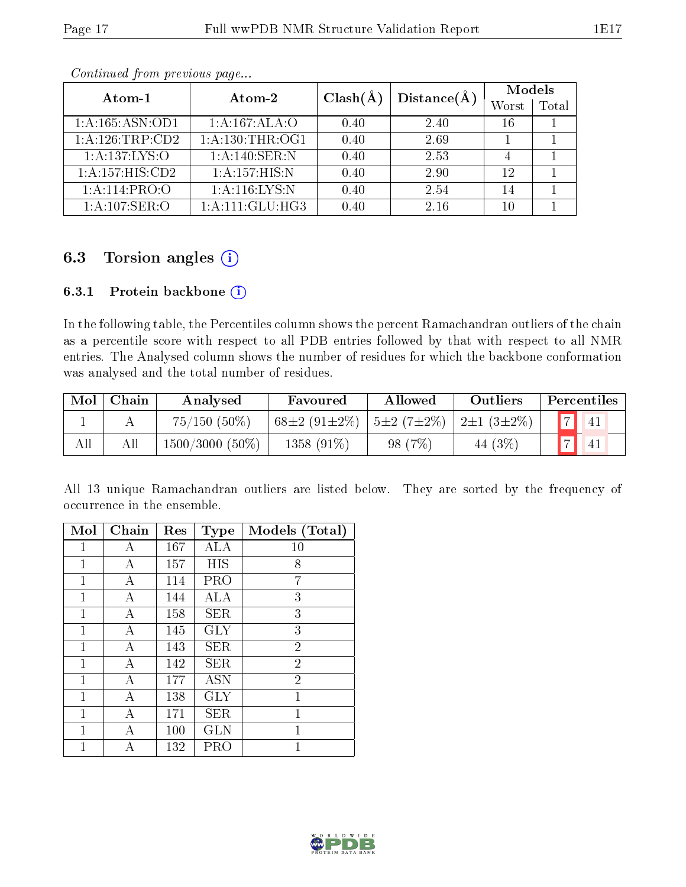| Atom-1                            | Atom-2                       | $Clash(\AA)$ | Distance(A) | <b>Models</b> |       |  |
|-----------------------------------|------------------------------|--------------|-------------|---------------|-------|--|
|                                   |                              |              |             | Worst         | Total |  |
| 1:A:165:ASN:OD1                   | 1:A:167:ALA:O                | 0.40         | 2.40        | 16            |       |  |
| $1: \overline{A:126:TRP:CD2}$     | 1: A: 130: THR: OG1          | 0.40         | 2.69        |               |       |  |
| 1:A:137:LYS:O                     | 1:A:140:SER:N                | 0.40         | 2.53        | 4             |       |  |
| $1:A:\overline{157:HIS:CD2}$      | $1:A:\overline{157:HIS:N}$   | 0.40         | 2.90        | 12            |       |  |
| 1:A:114:PRO:O                     | 1:A:116:LYS:N                | 0.40         | 2.54        | 14            |       |  |
| $1:A:107:\overline{\text{SER}:O}$ | $1:A:\overline{111:GLU:HG3}$ | 0.40         | 2.16        | 10            |       |  |

Continued from previous page...

## 6.3 Torsion angles  $(i)$

#### 6.3.1 Protein backbone (i)

In the following table, the Percentiles column shows the percent Ramachandran outliers of the chain as a percentile score with respect to all PDB entries followed by that with respect to all NMR entries. The Analysed column shows the number of residues for which the backbone conformation was analysed and the total number of residues.

| Mol | Chain | Analysed          | Favoured           | Allowed               | Outliers              | Percentiles    |
|-----|-------|-------------------|--------------------|-----------------------|-----------------------|----------------|
|     |       | $75/150(50\%)$    | $68\pm2(91\pm2\%)$ | $^{\circ}$ 5±2 (7±2%) | $2\pm1$ (3 $\pm2\%$ ) | $\overline{z}$ |
| All |       | $1500/3000(50\%)$ | 1358 $(91\%)$      | (7%)<br>98-1          | 44 (3\%)              | $\rightarrow$  |

All 13 unique Ramachandran outliers are listed below. They are sorted by the frequency of occurrence in the ensemble.

| Mol | Chain | Res | Type       | Models (Total) |
|-----|-------|-----|------------|----------------|
| 1   | А     | 167 | ALA        | 10             |
| 1   | Α     | 157 | HIS        | 8              |
| 1   | А     | 114 | PRO        | 7              |
| 1   | А     | 144 | ALA        | 3              |
| 1   | А     | 158 | <b>SER</b> | 3              |
| 1   | А     | 145 | <b>GLY</b> | 3              |
| 1   | А     | 143 | <b>SER</b> | $\overline{2}$ |
| 1   | А     | 142 | SER        | $\overline{2}$ |
| 1   | А     | 177 | <b>ASN</b> | $\overline{2}$ |
| 1   | А     | 138 | <b>GLY</b> | $\mathbf{1}$   |
| 1   | А     | 171 | SER        | 1              |
| 1   | Α     | 100 | <b>GLN</b> | 1              |
| 1   | А     | 132 | PRO        | 1              |

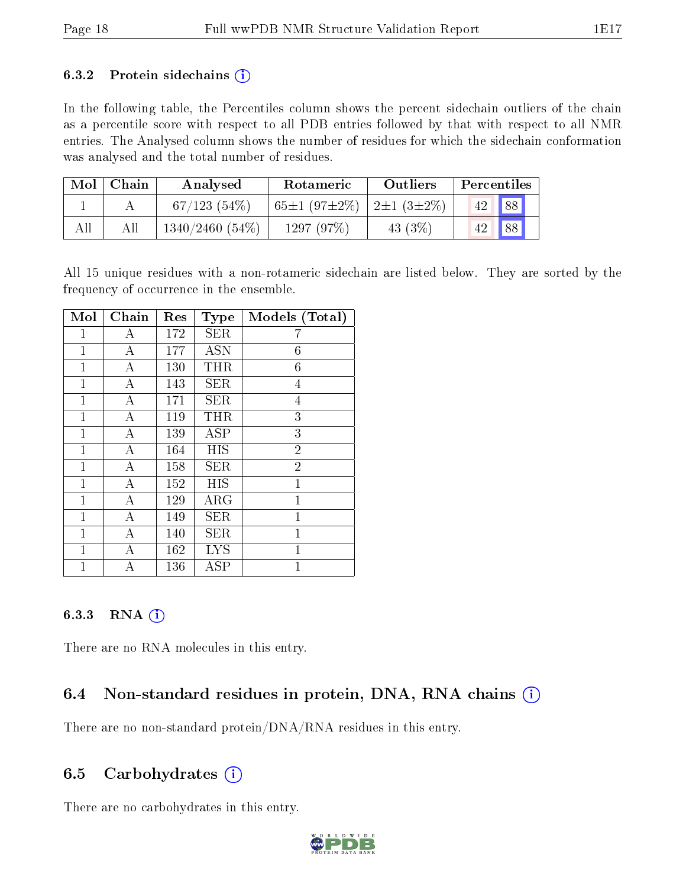#### 6.3.2 Protein sidechains  $(i)$

In the following table, the Percentiles column shows the percent sidechain outliers of the chain as a percentile score with respect to all PDB entries followed by that with respect to all NMR entries. The Analysed column shows the number of residues for which the sidechain conformation was analysed and the total number of residues.

| Mol | Chain | Analysed       | Rotameric                                         | <b>Outliers</b> | Percentiles |    |
|-----|-------|----------------|---------------------------------------------------|-----------------|-------------|----|
|     |       | 67/123(54%)    | 65 $\pm$ 1 (97 $\pm$ 2%)   2 $\pm$ 1 (3 $\pm$ 2%) |                 |             | 88 |
| All |       | 1340/2460(54%) | 1297 (97%)                                        | 43 $(3%)$       |             | 88 |

All 15 unique residues with a non-rotameric sidechain are listed below. They are sorted by the frequency of occurrence in the ensemble.

| Mol            | Chain          | Res | <b>Type</b> | Models (Total) |
|----------------|----------------|-----|-------------|----------------|
| 1              | А              | 172 | <b>SER</b>  | 7              |
| 1              | А              | 177 | <b>ASN</b>  | 6              |
| 1              | $\overline{A}$ | 130 | THR         | 6              |
| $\mathbf{1}$   | А              | 143 | <b>SER</b>  | 4              |
| 1              | А              | 171 | <b>SER</b>  | 4              |
| 1              | $\overline{A}$ | 119 | THR         | 3              |
| $\mathbf{1}$   | А              | 139 | ASP         | 3              |
| 1              | $\overline{A}$ | 164 | <b>HIS</b>  | $\overline{2}$ |
| 1              | $\overline{A}$ | 158 | <b>SER</b>  | $\overline{2}$ |
| $\mathbf{1}$   | А              | 152 | HIS         | $\mathbf 1$    |
| 1              | А              | 129 | $\rm{ARG}$  | $\mathbf 1$    |
| 1              | A              | 149 | <b>SER</b>  | 1              |
| 1              | А              | 140 | SER         | $\overline{1}$ |
| 1              | А              | 162 | <b>LYS</b>  | $\mathbf 1$    |
| $\overline{1}$ | А              | 136 | ASP         | $\overline{1}$ |

#### 6.3.3 RNA  $(i)$

There are no RNA molecules in this entry.

## 6.4 Non-standard residues in protein, DNA, RNA chains (i)

There are no non-standard protein/DNA/RNA residues in this entry.

#### 6.5 Carbohydrates  $(i)$

There are no carbohydrates in this entry.

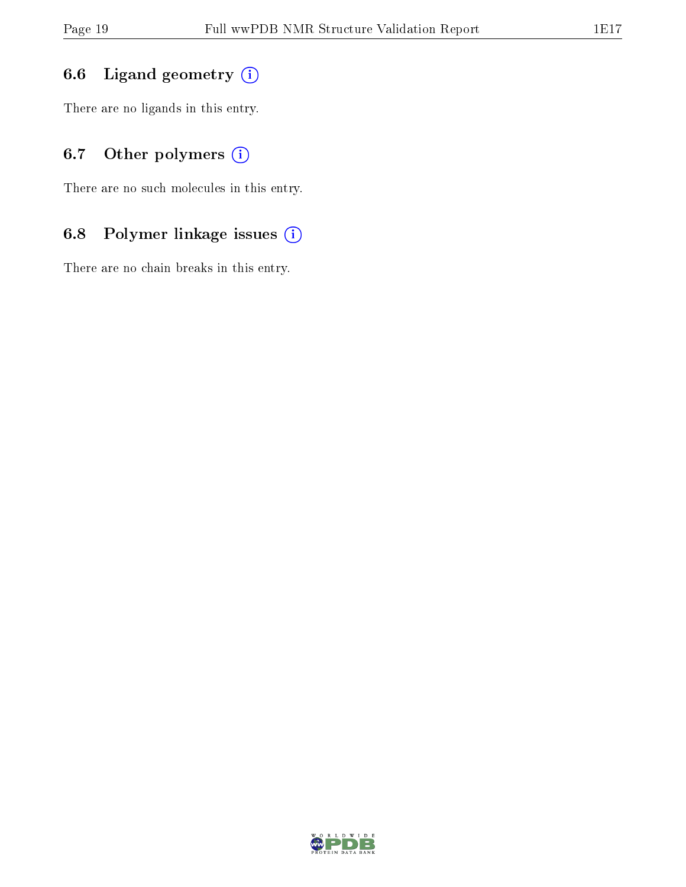## 6.6 Ligand geometry (i)

There are no ligands in this entry.

## 6.7 [O](https://www.wwpdb.org/validation/2017/NMRValidationReportHelp#nonstandard_residues_and_ligands)ther polymers (i)

There are no such molecules in this entry.

## 6.8 Polymer linkage issues (i)

There are no chain breaks in this entry.